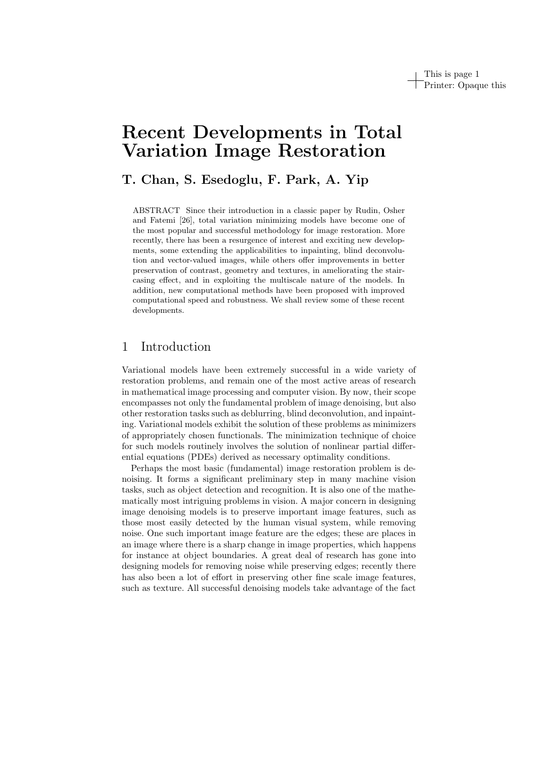# Recent Developments in Total Variation Image Restoration

T. Chan, S. Esedoglu, F. Park, A. Yip

ABSTRACT Since their introduction in a classic paper by Rudin, Osher and Fatemi [26], total variation minimizing models have become one of the most popular and successful methodology for image restoration. More recently, there has been a resurgence of interest and exciting new developments, some extending the applicabilities to inpainting, blind deconvolution and vector-valued images, while others offer improvements in better preservation of contrast, geometry and textures, in ameliorating the staircasing effect, and in exploiting the multiscale nature of the models. In addition, new computational methods have been proposed with improved computational speed and robustness. We shall review some of these recent developments.

# 1 Introduction

Variational models have been extremely successful in a wide variety of restoration problems, and remain one of the most active areas of research in mathematical image processing and computer vision. By now, their scope encompasses not only the fundamental problem of image denoising, but also other restoration tasks such as deblurring, blind deconvolution, and inpainting. Variational models exhibit the solution of these problems as minimizers of appropriately chosen functionals. The minimization technique of choice for such models routinely involves the solution of nonlinear partial differential equations (PDEs) derived as necessary optimality conditions.

Perhaps the most basic (fundamental) image restoration problem is denoising. It forms a significant preliminary step in many machine vision tasks, such as object detection and recognition. It is also one of the mathematically most intriguing problems in vision. A major concern in designing image denoising models is to preserve important image features, such as those most easily detected by the human visual system, while removing noise. One such important image feature are the edges; these are places in an image where there is a sharp change in image properties, which happens for instance at object boundaries. A great deal of research has gone into designing models for removing noise while preserving edges; recently there has also been a lot of effort in preserving other fine scale image features, such as texture. All successful denoising models take advantage of the fact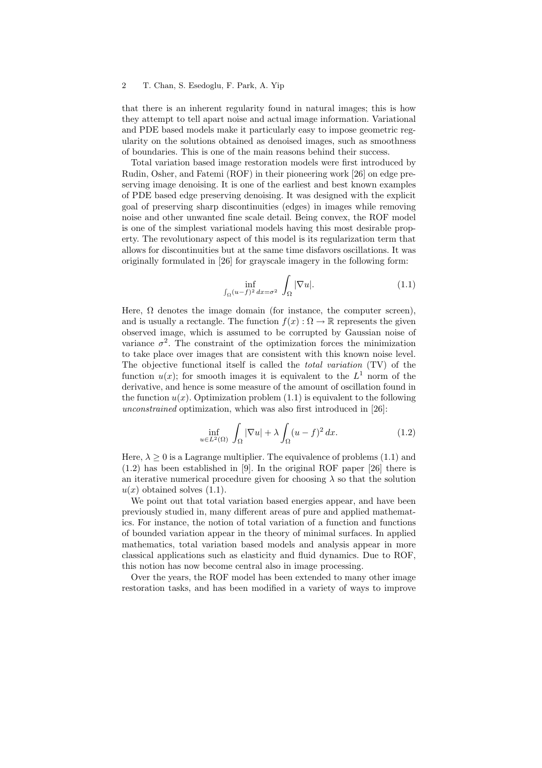that there is an inherent regularity found in natural images; this is how they attempt to tell apart noise and actual image information. Variational and PDE based models make it particularly easy to impose geometric regularity on the solutions obtained as denoised images, such as smoothness of boundaries. This is one of the main reasons behind their success.

Total variation based image restoration models were first introduced by Rudin, Osher, and Fatemi (ROF) in their pioneering work [26] on edge preserving image denoising. It is one of the earliest and best known examples of PDE based edge preserving denoising. It was designed with the explicit goal of preserving sharp discontinuities (edges) in images while removing noise and other unwanted fine scale detail. Being convex, the ROF model is one of the simplest variational models having this most desirable property. The revolutionary aspect of this model is its regularization term that allows for discontinuities but at the same time disfavors oscillations. It was originally formulated in [26] for grayscale imagery in the following form:

$$
\inf_{\int_{\Omega} (u-f)^2 dx = \sigma^2} \int_{\Omega} |\nabla u|.
$$
 (1.1)

Here,  $\Omega$  denotes the image domain (for instance, the computer screen), and is usually a rectangle. The function  $f(x): \Omega \to \mathbb{R}$  represents the given observed image, which is assumed to be corrupted by Gaussian noise of variance  $\sigma^2$ . The constraint of the optimization forces the minimization to take place over images that are consistent with this known noise level. The objective functional itself is called the *total variation* (TV) of the function  $u(x)$ ; for smooth images it is equivalent to the  $L^1$  norm of the derivative, and hence is some measure of the amount of oscillation found in the function  $u(x)$ . Optimization problem (1.1) is equivalent to the following unconstrained optimization, which was also first introduced in [26]:

$$
\inf_{u \in L^2(\Omega)} \int_{\Omega} |\nabla u| + \lambda \int_{\Omega} (u - f)^2 dx.
$$
 (1.2)

Here,  $\lambda \geq 0$  is a Lagrange multiplier. The equivalence of problems (1.1) and (1.2) has been established in [9]. In the original ROF paper [26] there is an iterative numerical procedure given for choosing  $\lambda$  so that the solution  $u(x)$  obtained solves  $(1.1)$ .

We point out that total variation based energies appear, and have been previously studied in, many different areas of pure and applied mathematics. For instance, the notion of total variation of a function and functions of bounded variation appear in the theory of minimal surfaces. In applied mathematics, total variation based models and analysis appear in more classical applications such as elasticity and fluid dynamics. Due to ROF, this notion has now become central also in image processing.

Over the years, the ROF model has been extended to many other image restoration tasks, and has been modified in a variety of ways to improve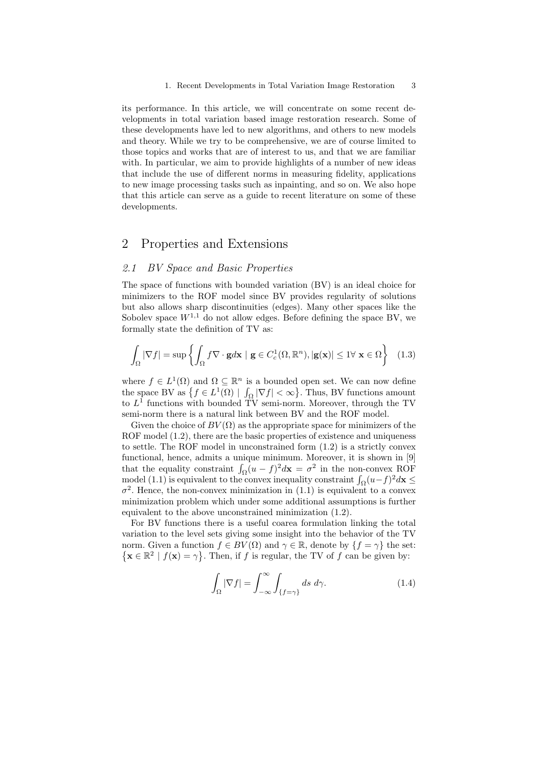its performance. In this article, we will concentrate on some recent developments in total variation based image restoration research. Some of these developments have led to new algorithms, and others to new models and theory. While we try to be comprehensive, we are of course limited to those topics and works that are of interest to us, and that we are familiar with. In particular, we aim to provide highlights of a number of new ideas that include the use of different norms in measuring fidelity, applications to new image processing tasks such as inpainting, and so on. We also hope that this article can serve as a guide to recent literature on some of these developments.

# 2 Properties and Extensions

# 2.1 BV Space and Basic Properties

The space of functions with bounded variation (BV) is an ideal choice for minimizers to the ROF model since BV provides regularity of solutions but also allows sharp discontinuities (edges). Many other spaces like the Sobolev space  $W^{1,1}$  do not allow edges. Before defining the space BV, we formally state the definition of TV as:

$$
\int_{\Omega} |\nabla f| = \sup \left\{ \int_{\Omega} f \nabla \cdot \mathbf{g} d\mathbf{x} \mid \mathbf{g} \in C_c^1(\Omega, \mathbb{R}^n), |\mathbf{g}(\mathbf{x})| \leq 1 \forall \mathbf{x} \in \Omega \right\} \quad (1.3)
$$

where  $f \in L^1(\Omega)$  and  $\Omega \subseteq \mathbb{R}^n$  is a bounded open set. We can now define where  $f \in L^1(\Omega)$  and  $\Omega \subseteq \mathbb{R}^n$  is a bounded open set. We can now define<br>the space BV as  $\{f \in L^1(\Omega) \mid \int_{\Omega} |\nabla f| < \infty\}$ . Thus, BV functions amount to  $L^1$  functions with bounded TV semi-norm. Moreover, through the TV semi-norm there is a natural link between BV and the ROF model.

Given the choice of  $BV(\Omega)$  as the appropriate space for minimizers of the ROF model  $(1.2)$ , there are the basic properties of existence and uniqueness to settle. The ROF model in unconstrained form (1.2) is a strictly convex functional, hence, admits a unique minimum. Moreover, it is shown in [9] functional, nence, admits a unique minimum. Moreover, it is shown in [9]<br>that the equality constraint  $\int_{\Omega} (u - f)^2 d\mathbf{x} = \sigma^2$  in the non-convex ROF that the equality constraint  $\int_{\Omega} (u - f)^2 dx = \sigma^2$  in the non-convex ROF model (1.1) is equivalent to the convex inequality constraint  $\int_{\Omega} (u - f)^2 dx \le$  $\sigma^2$ . Hence, the non-convex minimization in (1.1) is equivalent to a convex minimization problem which under some additional assumptions is further equivalent to the above unconstrained minimization (1.2).

For BV functions there is a useful coarea formulation linking the total variation to the level sets giving some insight into the behavior of the TV norm. Given a function  $f \in BV(\Omega)$  and  $\gamma \in \mathbb{R}$ , denote by  $\{f = \gamma\}$  the set:  $\mathbf{x} \in \mathbb{R}^2 \mid f(\mathbf{x}) = \gamma$ . Then, if f is regular, the TV of f can be given by:

$$
\int_{\Omega} |\nabla f| = \int_{-\infty}^{\infty} \int_{\{f=\gamma\}} ds \ d\gamma. \tag{1.4}
$$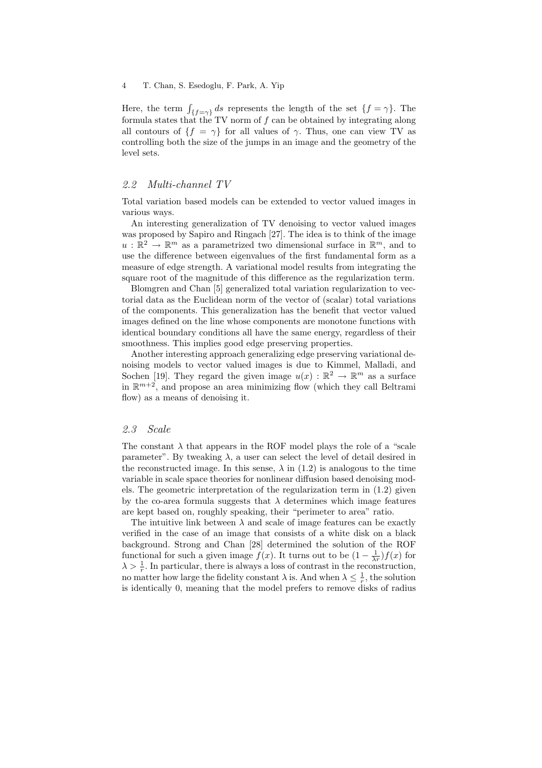Here, the term  $\int_{\{f=\gamma\}} ds$  represents the length of the set  $\{f=\gamma\}$ . The formula states that the TV norm of  $f$  can be obtained by integrating along all contours of  $\{f = \gamma\}$  for all values of  $\gamma$ . Thus, one can view TV as controlling both the size of the jumps in an image and the geometry of the level sets.

### 2.2 Multi-channel TV

Total variation based models can be extended to vector valued images in various ways.

An interesting generalization of TV denoising to vector valued images was proposed by Sapiro and Ringach [27]. The idea is to think of the image  $u: \mathbb{R}^2 \to \mathbb{R}^m$  as a parametrized two dimensional surface in  $\mathbb{R}^m$ , and to use the difference between eigenvalues of the first fundamental form as a measure of edge strength. A variational model results from integrating the square root of the magnitude of this difference as the regularization term.

Blomgren and Chan [5] generalized total variation regularization to vectorial data as the Euclidean norm of the vector of (scalar) total variations of the components. This generalization has the benefit that vector valued images defined on the line whose components are monotone functions with identical boundary conditions all have the same energy, regardless of their smoothness. This implies good edge preserving properties.

Another interesting approach generalizing edge preserving variational denoising models to vector valued images is due to Kimmel, Malladi, and Sochen [19]. They regard the given image  $u(x) : \mathbb{R}^2 \to \mathbb{R}^m$  as a surface in  $\mathbb{R}^{m+2}$ , and propose an area minimizing flow (which they call Beltrami flow) as a means of denoising it.

#### 2.3 Scale

The constant  $\lambda$  that appears in the ROF model plays the role of a "scale parameter". By tweaking  $\lambda$ , a user can select the level of detail desired in the reconstructed image. In this sense,  $\lambda$  in (1.2) is analogous to the time variable in scale space theories for nonlinear diffusion based denoising models. The geometric interpretation of the regularization term in (1.2) given by the co-area formula suggests that  $\lambda$  determines which image features are kept based on, roughly speaking, their "perimeter to area" ratio.

The intuitive link between  $\lambda$  and scale of image features can be exactly verified in the case of an image that consists of a white disk on a black background. Strong and Chan [28] determined the solution of the ROF functional for such a given image  $f(x)$ . It turns out to be  $(1 - \frac{1}{\lambda r}) f(x)$  for  $\lambda > \frac{1}{r}$ . In particular, there is always a loss of contrast in the reconstruction, no matter how large the fidelity constant  $\lambda$  is. And when  $\lambda \leq \frac{1}{r}$ , the solution is identically 0, meaning that the model prefers to remove disks of radius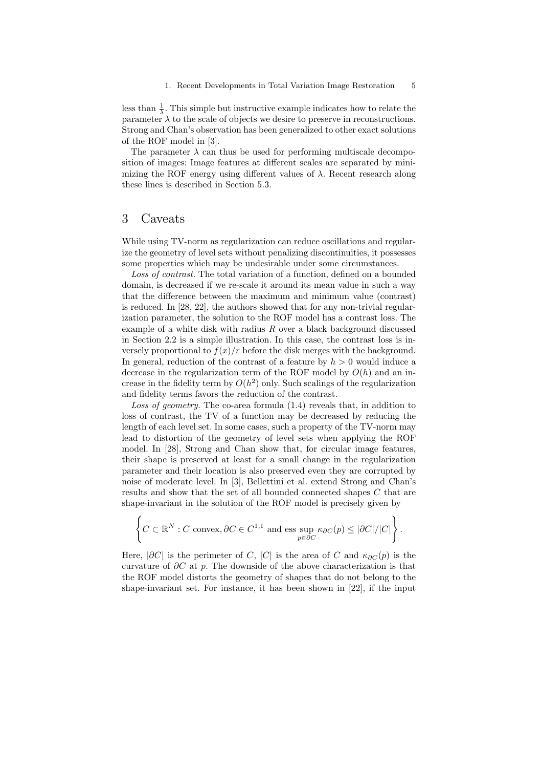less than  $\frac{1}{\lambda}$ . This simple but instructive example indicates how to relate the parameter  $\lambda$  to the scale of objects we desire to preserve in reconstructions. Strong and Chan's observation has been generalized to other exact solutions of the ROF model in [3].

The parameter  $\lambda$  can thus be used for performing multiscale decomposition of images: Image features at different scales are separated by minimizing the ROF energy using different values of  $\lambda$ . Recent research along these lines is described in Section 5.3.

# 3 Caveats

While using TV-norm as regularization can reduce oscillations and regularize the geometry of level sets without penalizing discontinuities, it possesses some properties which may be undesirable under some circumstances.

Loss of contrast. The total variation of a function, defined on a bounded domain, is decreased if we re-scale it around its mean value in such a way that the difference between the maximum and minimum value (contrast) is reduced. In [28, 22], the authors showed that for any non-trivial regularization parameter, the solution to the ROF model has a contrast loss. The example of a white disk with radius  $R$  over a black background discussed in Section 2.2 is a simple illustration. In this case, the contrast loss is inversely proportional to  $f(x)/r$  before the disk merges with the background. In general, reduction of the contrast of a feature by  $h > 0$  would induce a decrease in the regularization term of the ROF model by  $O(h)$  and an increase in the fidelity term by  $O(h^2)$  only. Such scalings of the regularization and fidelity terms favors the reduction of the contrast.

Loss of geometry. The co-area formula  $(1.4)$  reveals that, in addition to loss of contrast, the TV of a function may be decreased by reducing the length of each level set. In some cases, such a property of the TV-norm may lead to distortion of the geometry of level sets when applying the ROF model. In [28], Strong and Chan show that, for circular image features, their shape is preserved at least for a small change in the regularization parameter and their location is also preserved even they are corrupted by noise of moderate level. In [3], Bellettini et al. extend Strong and Chan's results and show that the set of all bounded connected shapes C that are shape-invariant in the solution of the ROF model is precisely given by

$$
\left\{ C \subset \mathbb{R}^N : C \text{ convex}, \partial C \in C^{1,1} \text{ and } \text{ess} \sup_{p \in \partial C} \kappa_{\partial C}(p) \leq |\partial C| / |C| \right\}.
$$

Here,  $|\partial C|$  is the perimeter of C,  $|C|$  is the area of C and  $\kappa_{\partial C}(p)$  is the curvature of  $\partial C$  at p. The downside of the above characterization is that the ROF model distorts the geometry of shapes that do not belong to the shape-invariant set. For instance, it has been shown in [22], if the input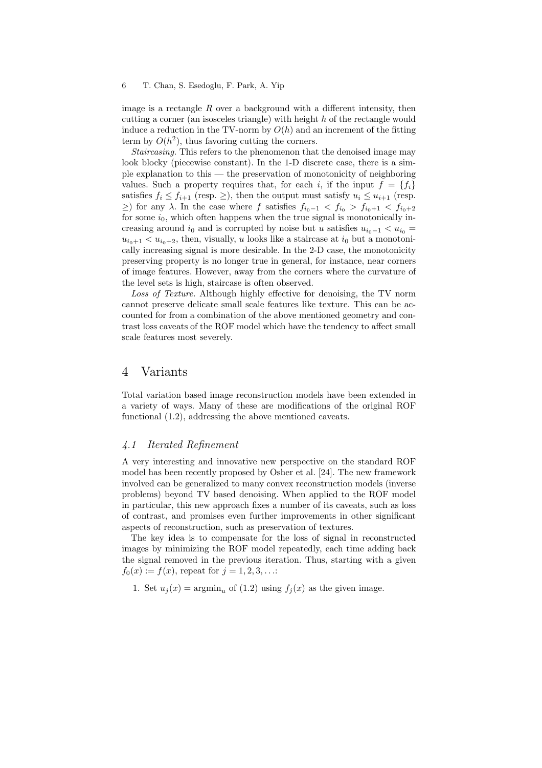image is a rectangle  $R$  over a background with a different intensity, then cutting a corner (an isosceles triangle) with height h of the rectangle would induce a reduction in the TV-norm by  $O(h)$  and an increment of the fitting term by  $O(h^2)$ , thus favoring cutting the corners.

Staircasing. This refers to the phenomenon that the denoised image may look blocky (piecewise constant). In the 1-D discrete case, there is a simple explanation to this — the preservation of monotonicity of neighboring values. Such a property requires that, for each i, if the input  $f = \{f_i\}$ satisfies  $f_i \leq f_{i+1}$  (resp.  $\geq$ ), then the output must satisfy  $u_i \leq u_{i+1}$  (resp.  $\geq$ ) for any λ. In the case where f satisfies  $f_{i₀-1} < f_{i₀} > f_{i₀+1} < f_{i₀+2}$ for some  $i_0$ , which often happens when the true signal is monotonically increasing around  $i_0$  and is corrupted by noise but u satisfies  $u_{i_0-1} < u_{i_0}$  $u_{i_0+1} < u_{i_0+2}$ , then, visually, u looks like a staircase at  $i_0$  but a monotonically increasing signal is more desirable. In the 2-D case, the monotonicity preserving property is no longer true in general, for instance, near corners of image features. However, away from the corners where the curvature of the level sets is high, staircase is often observed.

Loss of Texture. Although highly effective for denoising, the TV norm cannot preserve delicate small scale features like texture. This can be accounted for from a combination of the above mentioned geometry and contrast loss caveats of the ROF model which have the tendency to affect small scale features most severely.

# 4 Variants

Total variation based image reconstruction models have been extended in a variety of ways. Many of these are modifications of the original ROF functional (1.2), addressing the above mentioned caveats.

# 4.1 Iterated Refinement

A very interesting and innovative new perspective on the standard ROF model has been recently proposed by Osher et al. [24]. The new framework involved can be generalized to many convex reconstruction models (inverse problems) beyond TV based denoising. When applied to the ROF model in particular, this new approach fixes a number of its caveats, such as loss of contrast, and promises even further improvements in other significant aspects of reconstruction, such as preservation of textures.

The key idea is to compensate for the loss of signal in reconstructed images by minimizing the ROF model repeatedly, each time adding back the signal removed in the previous iteration. Thus, starting with a given  $f_0(x) := f(x)$ , repeat for  $j = 1, 2, 3, \ldots$ :

1. Set  $u_i(x) = \operatorname{argmin}_u$  of (1.2) using  $f_i(x)$  as the given image.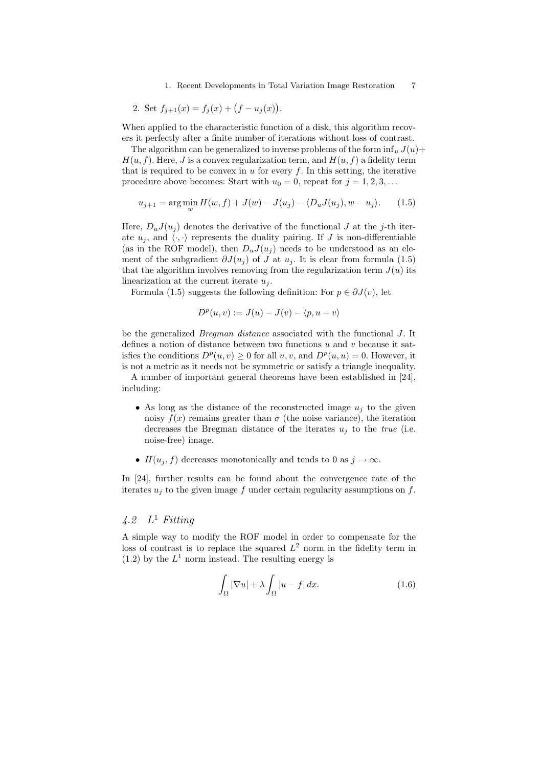1. Recent Developments in Total Variation Image Restoration 7

2. Set 
$$
f_{j+1}(x) = f_j(x) + (f - u_j(x))
$$
.

When applied to the characteristic function of a disk, this algorithm recovers it perfectly after a finite number of iterations without loss of contrast.

The algorithm can be generalized to inverse problems of the form  $\inf_u J(u)$ +  $H(u, f)$ . Here, J is a convex regularization term, and  $H(u, f)$  a fidelity term that is required to be convex in u for every f. In this setting, the iterative procedure above becomes: Start with  $u_0 = 0$ , repeat for  $j = 1, 2, 3, \ldots$ 

$$
u_{j+1} = \arg\min_{w} H(w, f) + J(w) - J(u_j) - \langle D_u J(u_j), w - u_j \rangle.
$$
 (1.5)

Here,  $D_u J(u_i)$  denotes the derivative of the functional J at the j-th iterate  $u_i$ , and  $\langle \cdot, \cdot \rangle$  represents the duality pairing. If J is non-differentiable (as in the ROF model), then  $D_u J(u_j)$  needs to be understood as an element of the subgradient  $\partial J(u_j)$  of J at  $u_j$ . It is clear from formula (1.5) that the algorithm involves removing from the regularization term  $J(u)$  its linearization at the current iterate  $u_i$ .

Formula (1.5) suggests the following definition: For  $p \in \partial J(v)$ , let

$$
D^{p}(u, v) := J(u) - J(v) - \langle p, u - v \rangle
$$

be the generalized Bregman distance associated with the functional J. It defines a notion of distance between two functions  $u$  and  $v$  because it satisfies the conditions  $D^p(u, v) \geq 0$  for all  $u, v$ , and  $D^p(u, u) = 0$ . However, it is not a metric as it needs not be symmetric or satisfy a triangle inequality.

A number of important general theorems have been established in [24], including:

- As long as the distance of the reconstructed image  $u_i$  to the given noisy  $f(x)$  remains greater than  $\sigma$  (the noise variance), the iteration decreases the Bregman distance of the iterates  $u_i$  to the *true* (i.e. noise-free) image.
- $H(u_j, f)$  decreases monotonically and tends to 0 as  $j \to \infty$ .

In [24], further results can be found about the convergence rate of the iterates  $u_i$  to the given image f under certain regularity assumptions on f.

# $\mathcal{A} \cdot \mathcal{Z} = L^1$  Fitting

A simple way to modify the ROF model in order to compensate for the loss of contrast is to replace the squared  $L^2$  norm in the fidelity term in  $(1.2)$  by the  $L<sup>1</sup>$  norm instead. The resulting energy is

$$
\int_{\Omega} |\nabla u| + \lambda \int_{\Omega} |u - f| \, dx. \tag{1.6}
$$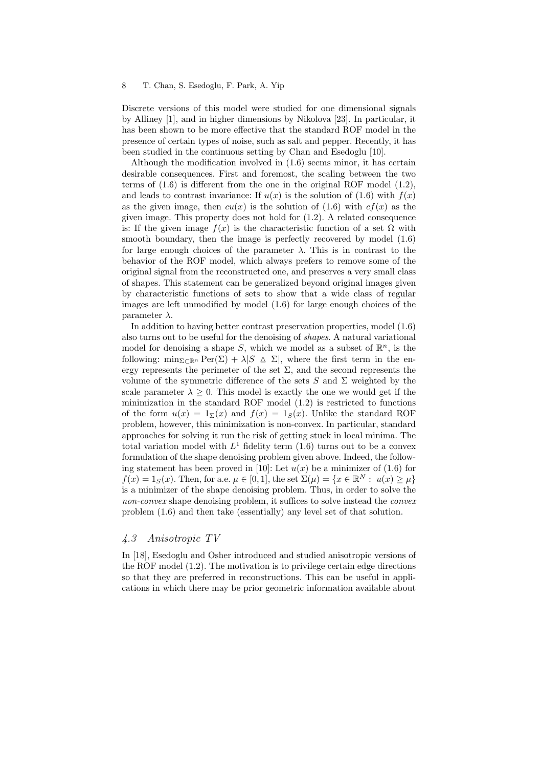Discrete versions of this model were studied for one dimensional signals by Alliney [1], and in higher dimensions by Nikolova [23]. In particular, it has been shown to be more effective that the standard ROF model in the presence of certain types of noise, such as salt and pepper. Recently, it has been studied in the continuous setting by Chan and Esedoglu [10].

Although the modification involved in (1.6) seems minor, it has certain desirable consequences. First and foremost, the scaling between the two terms of (1.6) is different from the one in the original ROF model (1.2), and leads to contrast invariance: If  $u(x)$  is the solution of (1.6) with  $f(x)$ as the given image, then  $cu(x)$  is the solution of (1.6) with  $cf(x)$  as the given image. This property does not hold for (1.2). A related consequence is: If the given image  $f(x)$  is the characteristic function of a set  $\Omega$  with smooth boundary, then the image is perfectly recovered by model (1.6) for large enough choices of the parameter  $\lambda$ . This is in contrast to the behavior of the ROF model, which always prefers to remove some of the original signal from the reconstructed one, and preserves a very small class of shapes. This statement can be generalized beyond original images given by characteristic functions of sets to show that a wide class of regular images are left unmodified by model (1.6) for large enough choices of the parameter  $\lambda$ .

In addition to having better contrast preservation properties, model (1.6) also turns out to be useful for the denoising of shapes. A natural variational model for denoising a shape S, which we model as a subset of  $\mathbb{R}^n$ , is the following:  $\min_{\Sigma \subset \mathbb{R}^n} \text{Per}(\Sigma) + \lambda |S \Delta \Sigma|$ , where the first term in the energy represents the perimeter of the set  $\Sigma$ , and the second represents the volume of the symmetric difference of the sets S and  $\Sigma$  weighted by the scale parameter  $\lambda > 0$ . This model is exactly the one we would get if the minimization in the standard ROF model (1.2) is restricted to functions of the form  $u(x) = 1_{\Sigma}(x)$  and  $f(x) = 1_{S}(x)$ . Unlike the standard ROF problem, however, this minimization is non-convex. In particular, standard approaches for solving it run the risk of getting stuck in local minima. The total variation model with  $L^1$  fidelity term (1.6) turns out to be a convex formulation of the shape denoising problem given above. Indeed, the following statement has been proved in [10]: Let  $u(x)$  be a minimizer of (1.6) for  $f(x) = 1_S(x)$ . Then, for a.e.  $\mu \in [0, 1]$ , the set  $\Sigma(\mu) = \{x \in \mathbb{R}^N : u(x) \ge \mu\}$ is a minimizer of the shape denoising problem. Thus, in order to solve the non-convex shape denoising problem, it suffices to solve instead the *convex* problem (1.6) and then take (essentially) any level set of that solution.

### 4.3 Anisotropic TV

In [18], Esedoglu and Osher introduced and studied anisotropic versions of the ROF model (1.2). The motivation is to privilege certain edge directions so that they are preferred in reconstructions. This can be useful in applications in which there may be prior geometric information available about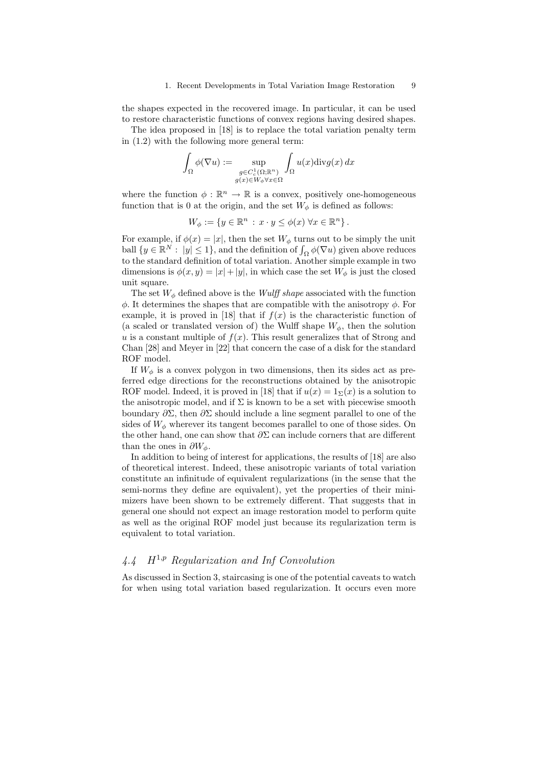the shapes expected in the recovered image. In particular, it can be used to restore characteristic functions of convex regions having desired shapes.

The idea proposed in [18] is to replace the total variation penalty term in (1.2) with the following more general term:

$$
\int_{\Omega} \phi(\nabla u) := \sup_{\substack{g \in C_c^1(\Omega; \mathbb{R}^n) \\ g(x) \in W_{\phi} \forall x \in \Omega}} \int_{\Omega} u(x) \text{div} g(x) dx
$$

where the function  $\phi : \mathbb{R}^n \to \mathbb{R}$  is a convex, positively one-homogeneous function that is 0 at the origin, and the set  $W_{\phi}$  is defined as follows:

$$
W_{\phi} := \{ y \in \mathbb{R}^n : x \cdot y \le \phi(x) \,\forall x \in \mathbb{R}^n \}.
$$

For example, if  $\phi(x) = |x|$ , then the set  $W_{\phi}$  turns out to be simply the unit For example, if  $\varphi(x) = |x|$ , then the set  $W_{\phi}$  turns out to be simply the unit ball  $\{y \in \mathbb{R}^N : |y| \le 1\}$ , and the definition of  $\int_{\Omega} \phi(\nabla u)$  given above reduces to the standard definition of total variation. Another simple example in two dimensions is  $\phi(x, y) = |x| + |y|$ , in which case the set  $W_{\phi}$  is just the closed unit square.

The set  $W_{\phi}$  defined above is the *Wulff shape* associated with the function  $φ$ . It determines the shapes that are compatible with the anisotropy  $φ$ . For example, it is proved in [18] that if  $f(x)$  is the characteristic function of (a scaled or translated version of) the Wulff shape  $W_{\phi}$ , then the solution u is a constant multiple of  $f(x)$ . This result generalizes that of Strong and Chan [28] and Meyer in [22] that concern the case of a disk for the standard ROF model.

If  $W_{\phi}$  is a convex polygon in two dimensions, then its sides act as preferred edge directions for the reconstructions obtained by the anisotropic ROF model. Indeed, it is proved in [18] that if  $u(x) = 1_{\Sigma}(x)$  is a solution to the anisotropic model, and if  $\Sigma$  is known to be a set with piecewise smooth boundary  $\partial \Sigma$ , then  $\partial \Sigma$  should include a line segment parallel to one of the sides of  $W_{\phi}$  wherever its tangent becomes parallel to one of those sides. On the other hand, one can show that  $\partial \Sigma$  can include corners that are different than the ones in  $\partial W_{\phi}$ .

In addition to being of interest for applications, the results of [18] are also of theoretical interest. Indeed, these anisotropic variants of total variation constitute an infinitude of equivalent regularizations (in the sense that the semi-norms they define are equivalent), yet the properties of their minimizers have been shown to be extremely different. That suggests that in general one should not expect an image restoration model to perform quite as well as the original ROF model just because its regularization term is equivalent to total variation.

# 4.4  $H^{1,p}$  Regularization and Inf Convolution

As discussed in Section 3, staircasing is one of the potential caveats to watch for when using total variation based regularization. It occurs even more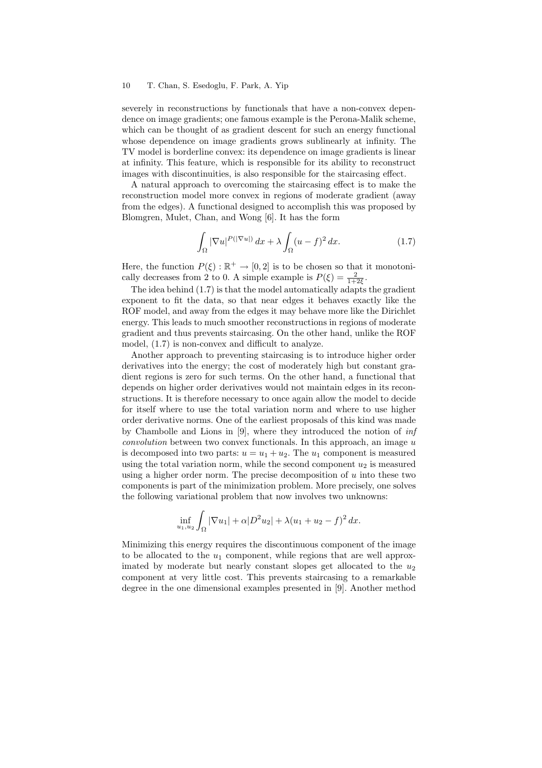severely in reconstructions by functionals that have a non-convex dependence on image gradients; one famous example is the Perona-Malik scheme, which can be thought of as gradient descent for such an energy functional whose dependence on image gradients grows sublinearly at infinity. The TV model is borderline convex: its dependence on image gradients is linear at infinity. This feature, which is responsible for its ability to reconstruct images with discontinuities, is also responsible for the staircasing effect.

A natural approach to overcoming the staircasing effect is to make the reconstruction model more convex in regions of moderate gradient (away from the edges). A functional designed to accomplish this was proposed by Blomgren, Mulet, Chan, and Wong [6]. It has the form

$$
\int_{\Omega} |\nabla u|^{P(|\nabla u|)} dx + \lambda \int_{\Omega} (u - f)^2 dx.
$$
 (1.7)

Here, the function  $P(\xi): \mathbb{R}^+ \to [0,2]$  is to be chosen so that it monotonically decreases from 2 to 0. A simple example is  $P(\xi) = \frac{2}{1+2\xi}$ .

The idea behind (1.7) is that the model automatically adapts the gradient exponent to fit the data, so that near edges it behaves exactly like the ROF model, and away from the edges it may behave more like the Dirichlet energy. This leads to much smoother reconstructions in regions of moderate gradient and thus prevents staircasing. On the other hand, unlike the ROF model, (1.7) is non-convex and difficult to analyze.

Another approach to preventing staircasing is to introduce higher order derivatives into the energy; the cost of moderately high but constant gradient regions is zero for such terms. On the other hand, a functional that depends on higher order derivatives would not maintain edges in its reconstructions. It is therefore necessary to once again allow the model to decide for itself where to use the total variation norm and where to use higher order derivative norms. One of the earliest proposals of this kind was made by Chambolle and Lions in [9], where they introduced the notion of inf  $convolution$  between two convex functionals. In this approach, an image  $u$ is decomposed into two parts:  $u = u_1 + u_2$ . The  $u_1$  component is measured using the total variation norm, while the second component  $u_2$  is measured using a higher order norm. The precise decomposition of  $u$  into these two components is part of the minimization problem. More precisely, one solves the following variational problem that now involves two unknowns:

$$
\inf_{u_1, u_2} \int_{\Omega} |\nabla u_1| + \alpha |D^2 u_2| + \lambda (u_1 + u_2 - f)^2 dx.
$$

Minimizing this energy requires the discontinuous component of the image to be allocated to the  $u_1$  component, while regions that are well approximated by moderate but nearly constant slopes get allocated to the  $u_2$ component at very little cost. This prevents staircasing to a remarkable degree in the one dimensional examples presented in [9]. Another method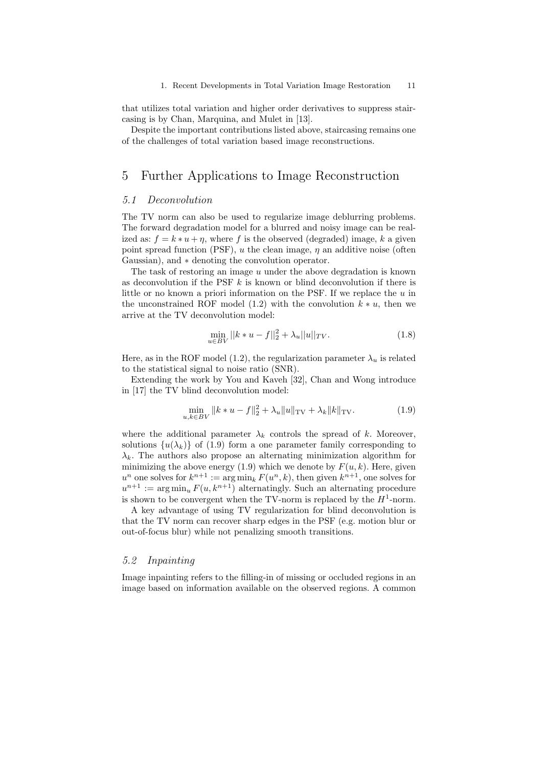that utilizes total variation and higher order derivatives to suppress staircasing is by Chan, Marquina, and Mulet in [13].

Despite the important contributions listed above, staircasing remains one of the challenges of total variation based image reconstructions.

# 5 Further Applications to Image Reconstruction

### 5.1 Deconvolution

The TV norm can also be used to regularize image deblurring problems. The forward degradation model for a blurred and noisy image can be realized as:  $f = k * u + \eta$ , where f is the observed (degraded) image, k a given point spread function (PSF), u the clean image,  $\eta$  an additive noise (often Gaussian), and ∗ denoting the convolution operator.

The task of restoring an image u under the above degradation is known as deconvolution if the PSF  $k$  is known or blind deconvolution if there is little or no known a priori information on the PSF. If we replace the  $u$  in the unconstrained ROF model (1.2) with the convolution  $k * u$ , then we arrive at the TV deconvolution model:

$$
\min_{u \in BV} ||k * u - f||_2^2 + \lambda_u ||u||_{TV}.
$$
\n(1.8)

Here, as in the ROF model (1.2), the regularization parameter  $\lambda_u$  is related to the statistical signal to noise ratio (SNR).

Extending the work by You and Kaveh [32], Chan and Wong introduce in [17] the TV blind deconvolution model:

$$
\min_{u,k \in BV} \|k * u - f\|_2^2 + \lambda_u \|u\|_{\text{TV}} + \lambda_k \|k\|_{\text{TV}}.
$$
\n(1.9)

where the additional parameter  $\lambda_k$  controls the spread of k. Moreover, solutions  $\{u(\lambda_k)\}\$  of (1.9) form a one parameter family corresponding to  $\lambda_k$ . The authors also propose an alternating minimization algorithm for minimizing the above energy (1.9) which we denote by  $F(u, k)$ . Here, given  $u^n$  one solves for  $k^{n+1} := \arg \min_k F(u^n, k)$ , then given  $k^{n+1}$ , one solves for  $u^{n+1} := \arg \min_u F(u, k^{n+1})$  alternatingly. Such an alternating procedure is shown to be convergent when the TV-norm is replaced by the  $H^1$ -norm.

A key advantage of using TV regularization for blind deconvolution is that the TV norm can recover sharp edges in the PSF (e.g. motion blur or out-of-focus blur) while not penalizing smooth transitions.

### 5.2 Inpainting

Image inpainting refers to the filling-in of missing or occluded regions in an image based on information available on the observed regions. A common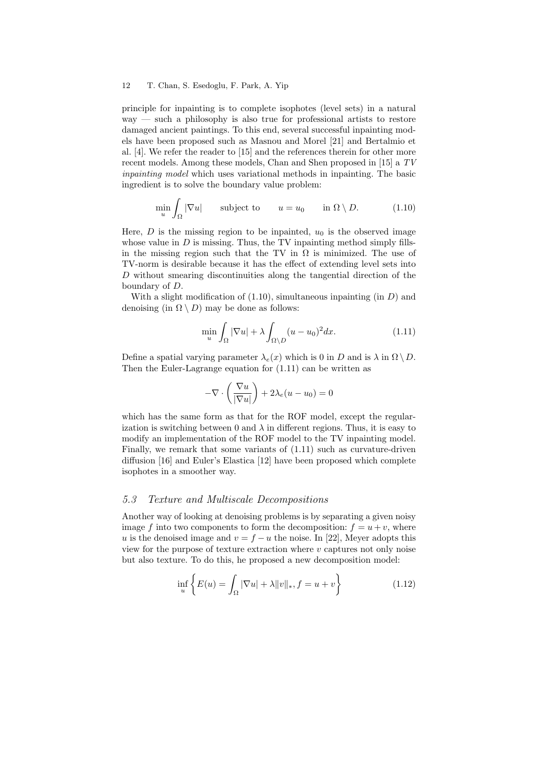principle for inpainting is to complete isophotes (level sets) in a natural way — such a philosophy is also true for professional artists to restore damaged ancient paintings. To this end, several successful inpainting models have been proposed such as Masnou and Morel [21] and Bertalmio et al. [4]. We refer the reader to [15] and the references therein for other more recent models. Among these models, Chan and Shen proposed in [15] a TV inpainting model which uses variational methods in inpainting. The basic ingredient is to solve the boundary value problem:

$$
\min_{u} \int_{\Omega} |\nabla u| \qquad \text{subject to} \qquad u = u_0 \qquad \text{in } \Omega \setminus D. \tag{1.10}
$$

Here,  $D$  is the missing region to be inpainted,  $u_0$  is the observed image whose value in  $D$  is missing. Thus, the TV inpainting method simply fillsin the missing region such that the TV in  $\Omega$  is minimized. The use of TV-norm is desirable because it has the effect of extending level sets into D without smearing discontinuities along the tangential direction of the boundary of D.

With a slight modification of  $(1.10)$ , simultaneous inpainting  $(in D)$  and denoising (in  $\Omega \setminus D$ ) may be done as follows:

$$
\min_{u} \int_{\Omega} |\nabla u| + \lambda \int_{\Omega \setminus D} (u - u_0)^2 dx. \tag{1.11}
$$

Define a spatial varying parameter  $\lambda_e(x)$  which is 0 in D and is  $\lambda$  in  $\Omega \setminus D$ . Then the Euler-Lagrange equation for (1.11) can be written as

$$
-\nabla \cdot \left(\frac{\nabla u}{|\nabla u|}\right) + 2\lambda_e(u - u_0) = 0
$$

which has the same form as that for the ROF model, except the regularization is switching between 0 and  $\lambda$  in different regions. Thus, it is easy to modify an implementation of the ROF model to the TV inpainting model. Finally, we remark that some variants of (1.11) such as curvature-driven diffusion [16] and Euler's Elastica [12] have been proposed which complete isophotes in a smoother way.

### 5.3 Texture and Multiscale Decompositions

Another way of looking at denoising problems is by separating a given noisy image f into two components to form the decomposition:  $f = u + v$ , where u is the denoised image and  $v = f - u$  the noise. In [22], Meyer adopts this view for the purpose of texture extraction where v captures not only noise but also texture. To do this, he proposed a new decomposition model:

$$
\inf_{u} \left\{ E(u) = \int_{\Omega} |\nabla u| + \lambda ||v||_*, f = u + v \right\}
$$
\n(1.12)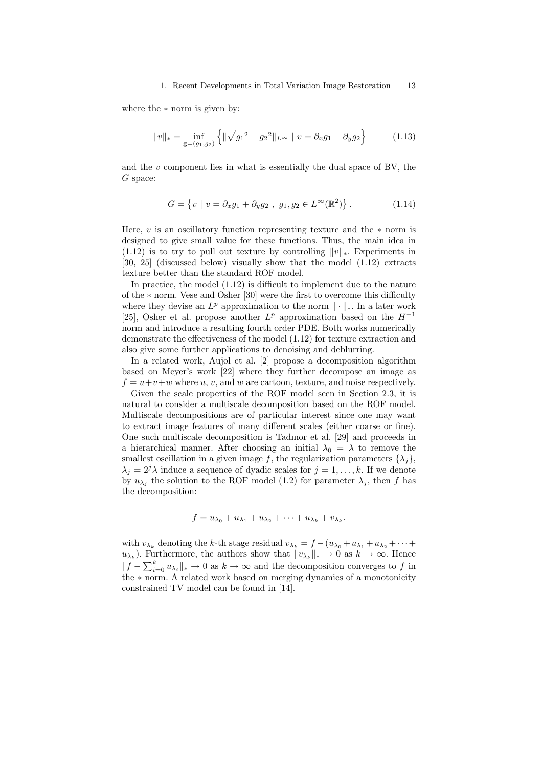#### 1. Recent Developments in Total Variation Image Restoration 13

where the ∗ norm is given by:

$$
||v||_* = \inf_{\mathbf{g} = (g_1, g_2)} \left\{ ||\sqrt{g_1^2 + g_2^2}||_{L^\infty} \mid v = \partial_x g_1 + \partial_y g_2 \right\}
$$
(1.13)

and the  $v$  component lies in what is essentially the dual space of BV, the G space:

$$
G = \{ v \mid v = \partial_x g_1 + \partial_y g_2 , g_1, g_2 \in L^{\infty}(\mathbb{R}^2) \}.
$$
 (1.14)

Here,  $v$  is an oscillatory function representing texture and the  $*$  norm is designed to give small value for these functions. Thus, the main idea in (1.12) is to try to pull out texture by controlling  $||v||_*$ . Experiments in [30, 25] (discussed below) visually show that the model (1.12) extracts texture better than the standard ROF model.

In practice, the model (1.12) is difficult to implement due to the nature of the ∗ norm. Vese and Osher [30] were the first to overcome this difficulty where they devise an  $L^p$  approximation to the norm  $\|\cdot\|_*$ . In a later work [25], Osher et al. propose another  $L^p$  approximation based on the  $H^{-1}$ norm and introduce a resulting fourth order PDE. Both works numerically demonstrate the effectiveness of the model (1.12) for texture extraction and also give some further applications to denoising and deblurring.

In a related work, Aujol et al. [2] propose a decomposition algorithm based on Meyer's work [22] where they further decompose an image as  $f = u+v+w$  where u, v, and w are cartoon, texture, and noise respectively.

Given the scale properties of the ROF model seen in Section 2.3, it is natural to consider a multiscale decomposition based on the ROF model. Multiscale decompositions are of particular interest since one may want to extract image features of many different scales (either coarse or fine). One such multiscale decomposition is Tadmor et al. [29] and proceeds in a hierarchical manner. After choosing an initial  $\lambda_0 = \lambda$  to remove the smallest oscillation in a given image f, the regularization parameters  $\{\lambda_i\}$ ,  $\lambda_j = 2^j \lambda$  induce a sequence of dyadic scales for  $j = 1, \ldots, k$ . If we denote by  $u_{\lambda_j}$  the solution to the ROF model (1.2) for parameter  $\lambda_j$ , then f has the decomposition:

$$
f = u_{\lambda_0} + u_{\lambda_1} + u_{\lambda_2} + \cdots + u_{\lambda_k} + v_{\lambda_k}.
$$

with  $v_{\lambda_k}$  denoting the k-th stage residual  $v_{\lambda_k} = f - (u_{\lambda_0} + u_{\lambda_1} + u_{\lambda_2} + \cdots +$  $u_{\lambda_k}$ ). Furthermore, the authors show that  $||v_{\lambda_k}||_* \to 0$  as  $k \to \infty$ . Hence  $||f - \sum_{i=0}^{k} u_{\lambda_i}||_* \to 0$  as  $k \to \infty$  and the decomposition converges to f in the ∗ norm. A related work based on merging dynamics of a monotonicity constrained TV model can be found in [14].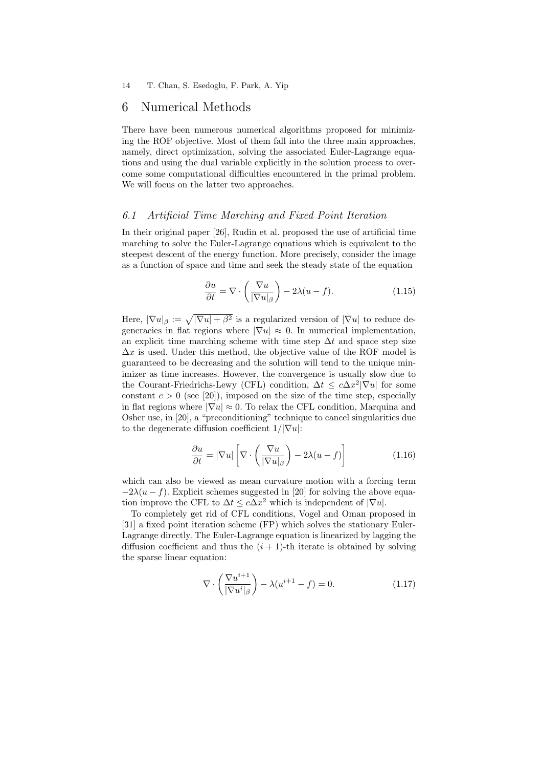# 6 Numerical Methods

There have been numerous numerical algorithms proposed for minimizing the ROF objective. Most of them fall into the three main approaches, namely, direct optimization, solving the associated Euler-Lagrange equations and using the dual variable explicitly in the solution process to overcome some computational difficulties encountered in the primal problem. We will focus on the latter two approaches.

# 6.1 Artificial Time Marching and Fixed Point Iteration

In their original paper [26], Rudin et al. proposed the use of artificial time marching to solve the Euler-Lagrange equations which is equivalent to the steepest descent of the energy function. More precisely, consider the image as a function of space and time and seek the steady state of the equation

$$
\frac{\partial u}{\partial t} = \nabla \cdot \left(\frac{\nabla u}{|\nabla u|_{\beta}}\right) - 2\lambda (u - f). \tag{1.15}
$$

Here,  $|\nabla u|_{\beta} := \sqrt{|\nabla u| + \beta^2}$  is a regularized version of  $|\nabla u|$  to reduce degeneracies in flat regions where  $|\nabla u| \approx 0$ . In numerical implementation, an explicit time marching scheme with time step  $\Delta t$  and space step size  $\Delta x$  is used. Under this method, the objective value of the ROF model is guaranteed to be decreasing and the solution will tend to the unique minimizer as time increases. However, the convergence is usually slow due to the Courant-Friedrichs-Lewy (CFL) condition,  $\Delta t \leq c \Delta x^2 |\nabla u|$  for some constant  $c > 0$  (see [20]), imposed on the size of the time step, especially in flat regions where  $|\nabla u| \approx 0$ . To relax the CFL condition, Marquina and Osher use, in [20], a "preconditioning" technique to cancel singularities due to the degenerate diffusion coefficient  $1/|\nabla u|$ :

$$
\frac{\partial u}{\partial t} = |\nabla u| \left[ \nabla \cdot \left( \frac{\nabla u}{|\nabla u|_{\beta}} \right) - 2\lambda (u - f) \right] \tag{1.16}
$$

which can also be viewed as mean curvature motion with a forcing term  $-2\lambda(u-f)$ . Explicit schemes suggested in [20] for solving the above equation improve the CFL to  $\Delta t \leq c\Delta x^2$  which is independent of  $|\nabla u|$ .

To completely get rid of CFL conditions, Vogel and Oman proposed in [31] a fixed point iteration scheme (FP) which solves the stationary Euler-Lagrange directly. The Euler-Lagrange equation is linearized by lagging the diffusion coefficient and thus the  $(i + 1)$ -th iterate is obtained by solving the sparse linear equation:

$$
\nabla \cdot \left(\frac{\nabla u^{i+1}}{|\nabla u^i|_{\beta}}\right) - \lambda (u^{i+1} - f) = 0.
$$
 (1.17)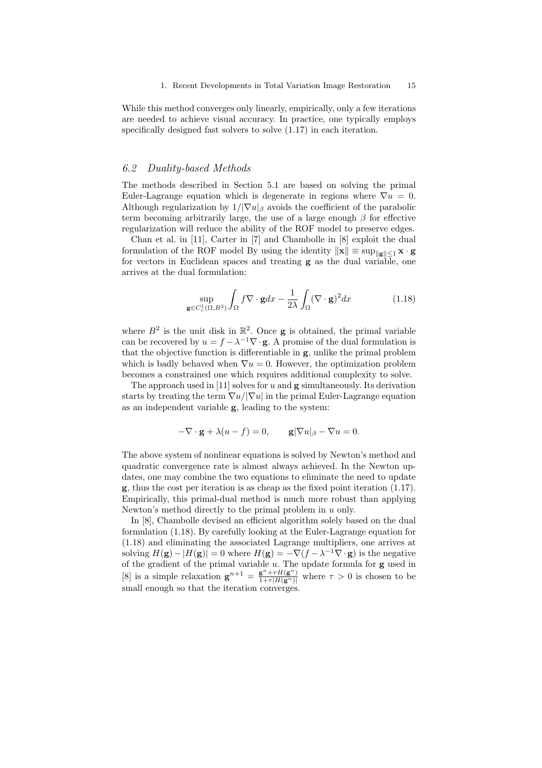While this method converges only linearly, empirically, only a few iterations are needed to achieve visual accuracy. In practice, one typically employs specifically designed fast solvers to solve  $(1.17)$  in each iteration.

### 6.2 Duality-based Methods

The methods described in Section 5.1 are based on solving the primal Euler-Lagrange equation which is degenerate in regions where  $\nabla u = 0$ . Although regularization by  $1/|\nabla u|_{\beta}$  avoids the coefficient of the parabolic term becoming arbitrarily large, the use of a large enough  $\beta$  for effective regularization will reduce the ability of the ROF model to preserve edges.

Chan et al. in [11], Carter in [7] and Chambolle in [8] exploit the dual formulation of the ROF model By using the identity  $\|\mathbf{x}\| \equiv \sup_{\|\mathbf{g}\| \leq 1} \mathbf{x} \cdot \mathbf{g}$ for vectors in Euclidean spaces and treating g as the dual variable, one arrives at the dual formulation:

$$
\sup_{\mathbf{g}\in C_c^1(\Omega,B^2)} \int_{\Omega} f \nabla \cdot \mathbf{g} dx - \frac{1}{2\lambda} \int_{\Omega} (\nabla \cdot \mathbf{g})^2 dx \tag{1.18}
$$

where  $B^2$  is the unit disk in  $\mathbb{R}^2$ . Once **g** is obtained, the primal variable can be recovered by  $u = f - \lambda^{-1} \nabla \cdot \mathbf{g}$ . A promise of the dual formulation is that the objective function is differentiable in g, unlike the primal problem which is badly behaved when  $\nabla u = 0$ . However, the optimization problem becomes a constrained one which requires additional complexity to solve.

The approach used in [11] solves for u and  $g$  simultaneously. Its derivation starts by treating the term  $\nabla u / |\nabla u|$  in the primal Euler-Lagrange equation as an independent variable g, leading to the system:

$$
-\nabla \cdot \mathbf{g} + \lambda (u - f) = 0, \qquad \mathbf{g} |\nabla u|_{\beta} - \nabla u = 0.
$$

The above system of nonlinear equations is solved by Newton's method and quadratic convergence rate is almost always achieved. In the Newton updates, one may combine the two equations to eliminate the need to update  $\mathbf{g}$ , thus the cost per iteration is as cheap as the fixed point iteration  $(1.17)$ . Empirically, this primal-dual method is much more robust than applying Newton's method directly to the primal problem in u only.

In [8], Chambolle devised an efficient algorithm solely based on the dual formulation (1.18). By carefully looking at the Euler-Lagrange equation for (1.18) and eliminating the associated Lagrange multipliers, one arrives at solving  $H(\mathbf{g}) - |H(\mathbf{g})| = 0$  where  $H(\mathbf{g}) = -\nabla (f - \lambda^{-1} \nabla \cdot \mathbf{g})$  is the negative of the gradient of the primal variable  $u$ . The update formula for  $g$  used in [8] is a simple relaxation  $\mathbf{g}^{n+1} = \frac{\mathbf{g}^n + \tau H(\mathbf{g}^n)}{1 + \tau |H(\mathbf{g}^n)|}$  where  $\tau > 0$  is chosen to be small enough so that the iteration converges.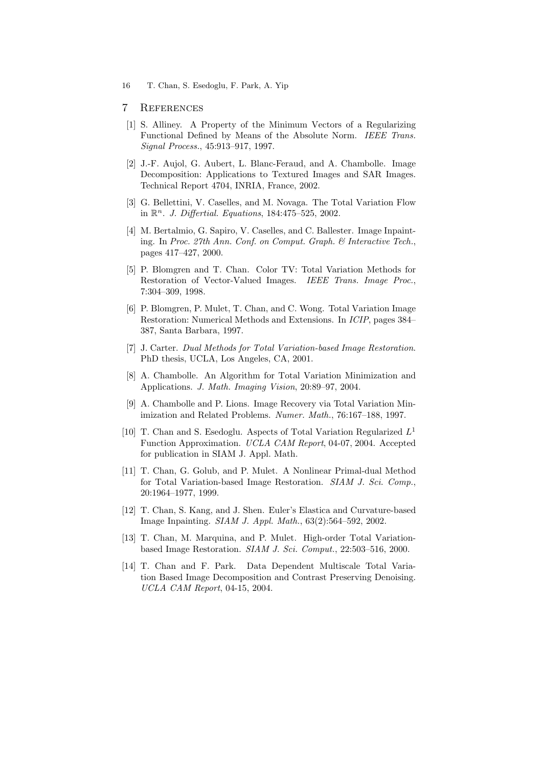### 7 References

- [1] S. Alliney. A Property of the Minimum Vectors of a Regularizing Functional Defined by Means of the Absolute Norm. IEEE Trans. Signal Process., 45:913–917, 1997.
- [2] J.-F. Aujol, G. Aubert, L. Blanc-Feraud, and A. Chambolle. Image Decomposition: Applications to Textured Images and SAR Images. Technical Report 4704, INRIA, France, 2002.
- [3] G. Bellettini, V. Caselles, and M. Novaga. The Total Variation Flow in  $\mathbb{R}^n$ . J. Differtial. Equations, 184:475-525, 2002.
- [4] M. Bertalmio, G. Sapiro, V. Caselles, and C. Ballester. Image Inpainting. In Proc. 27th Ann. Conf. on Comput. Graph. & Interactive Tech., pages 417–427, 2000.
- [5] P. Blomgren and T. Chan. Color TV: Total Variation Methods for Restoration of Vector-Valued Images. IEEE Trans. Image Proc., 7:304–309, 1998.
- [6] P. Blomgren, P. Mulet, T. Chan, and C. Wong. Total Variation Image Restoration: Numerical Methods and Extensions. In ICIP, pages 384– 387, Santa Barbara, 1997.
- [7] J. Carter. Dual Methods for Total Variation-based Image Restoration. PhD thesis, UCLA, Los Angeles, CA, 2001.
- [8] A. Chambolle. An Algorithm for Total Variation Minimization and Applications. J. Math. Imaging Vision, 20:89–97, 2004.
- [9] A. Chambolle and P. Lions. Image Recovery via Total Variation Minimization and Related Problems. Numer. Math., 76:167–188, 1997.
- [10] T. Chan and S. Esedoglu. Aspects of Total Variation Regularized  $L^1$ Function Approximation. UCLA CAM Report, 04-07, 2004. Accepted for publication in SIAM J. Appl. Math.
- [11] T. Chan, G. Golub, and P. Mulet. A Nonlinear Primal-dual Method for Total Variation-based Image Restoration. SIAM J. Sci. Comp., 20:1964–1977, 1999.
- [12] T. Chan, S. Kang, and J. Shen. Euler's Elastica and Curvature-based Image Inpainting. SIAM J. Appl. Math., 63(2):564–592, 2002.
- [13] T. Chan, M. Marquina, and P. Mulet. High-order Total Variationbased Image Restoration. SIAM J. Sci. Comput., 22:503–516, 2000.
- [14] T. Chan and F. Park. Data Dependent Multiscale Total Variation Based Image Decomposition and Contrast Preserving Denoising. UCLA CAM Report, 04-15, 2004.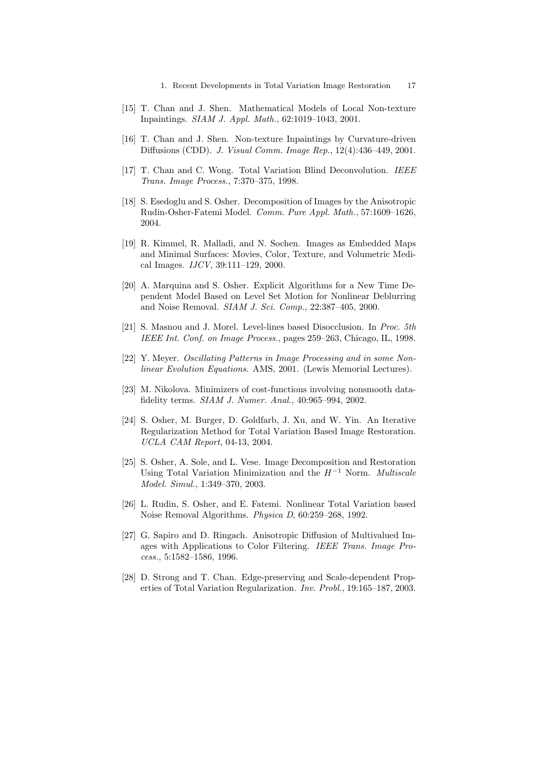1. Recent Developments in Total Variation Image Restoration 17

- [15] T. Chan and J. Shen. Mathematical Models of Local Non-texture Inpaintings. SIAM J. Appl. Math., 62:1019–1043, 2001.
- [16] T. Chan and J. Shen. Non-texture Inpaintings by Curvature-driven Diffusions (CDD). J. Visual Comm. Image Rep., 12(4):436–449, 2001.
- [17] T. Chan and C. Wong. Total Variation Blind Deconvolution. IEEE Trans. Image Process., 7:370–375, 1998.
- [18] S. Esedoglu and S. Osher. Decomposition of Images by the Anisotropic Rudin-Osher-Fatemi Model. Comm. Pure Appl. Math., 57:1609–1626, 2004.
- [19] R. Kimmel, R. Malladi, and N. Sochen. Images as Embedded Maps and Minimal Surfaces: Movies, Color, Texture, and Volumetric Medical Images. IJCV, 39:111–129, 2000.
- [20] A. Marquina and S. Osher. Explicit Algorithms for a New Time Dependent Model Based on Level Set Motion for Nonlinear Deblurring and Noise Removal. SIAM J. Sci. Comp., 22:387–405, 2000.
- [21] S. Masnou and J. Morel. Level-lines based Disocclusion. In Proc. 5th IEEE Int. Conf. on Image Process., pages 259–263, Chicago, IL, 1998.
- [22] Y. Meyer. Oscillating Patterns in Image Processing and in some Nonlinear Evolution Equations. AMS, 2001. (Lewis Memorial Lectures).
- [23] M. Nikolova. Minimizers of cost-functions involving nonsmooth datafidelity terms. SIAM J. Numer. Anal., 40:965–994, 2002.
- [24] S. Osher, M. Burger, D. Goldfarb, J. Xu, and W. Yin. An Iterative Regularization Method for Total Variation Based Image Restoration. UCLA CAM Report, 04-13, 2004.
- [25] S. Osher, A. Sole, and L. Vese. Image Decomposition and Restoration Using Total Variation Minimization and the  $H^{-1}$  Norm. *Multiscale* Model. Simul., 1:349–370, 2003.
- [26] L. Rudin, S. Osher, and E. Fatemi. Nonlinear Total Variation based Noise Removal Algorithms. Physica D, 60:259–268, 1992.
- [27] G. Sapiro and D. Ringach. Anisotropic Diffusion of Multivalued Images with Applications to Color Filtering. IEEE Trans. Image Process., 5:1582–1586, 1996.
- [28] D. Strong and T. Chan. Edge-preserving and Scale-dependent Properties of Total Variation Regularization. Inv. Probl., 19:165–187, 2003.